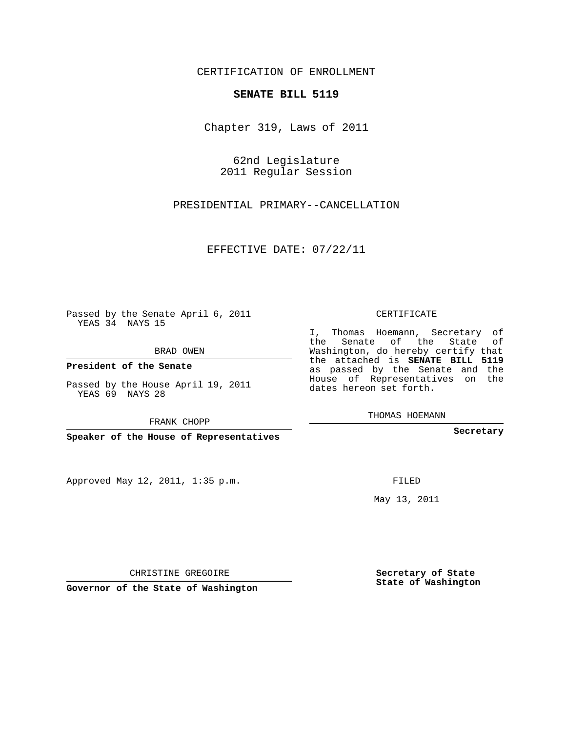## CERTIFICATION OF ENROLLMENT

## **SENATE BILL 5119**

Chapter 319, Laws of 2011

62nd Legislature 2011 Regular Session

PRESIDENTIAL PRIMARY--CANCELLATION

EFFECTIVE DATE: 07/22/11

Passed by the Senate April 6, 2011 YEAS 34 NAYS 15

BRAD OWEN

**President of the Senate**

Passed by the House April 19, 2011 YEAS 69 NAYS 28

FRANK CHOPP

**Speaker of the House of Representatives**

Approved May 12, 2011, 1:35 p.m.

CERTIFICATE

I, Thomas Hoemann, Secretary of the Senate of the State of Washington, do hereby certify that the attached is **SENATE BILL 5119** as passed by the Senate and the House of Representatives on the dates hereon set forth.

THOMAS HOEMANN

**Secretary**

FILED

May 13, 2011

**Secretary of State State of Washington**

CHRISTINE GREGOIRE

**Governor of the State of Washington**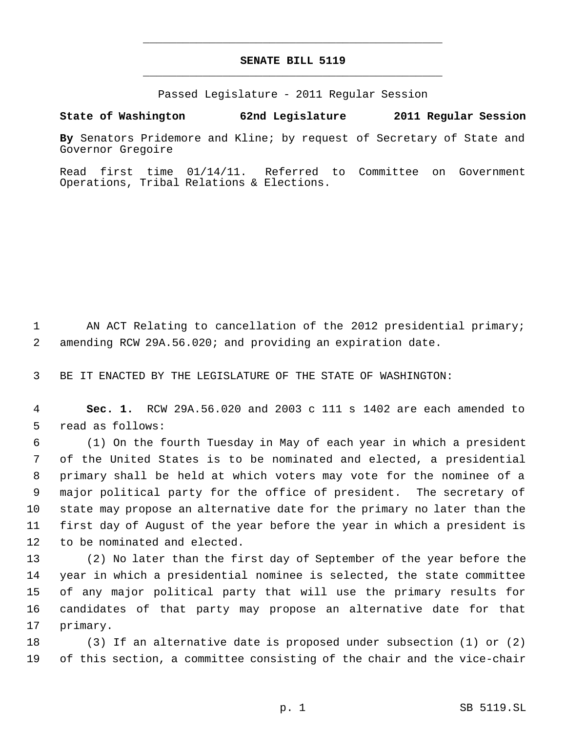## **SENATE BILL 5119** \_\_\_\_\_\_\_\_\_\_\_\_\_\_\_\_\_\_\_\_\_\_\_\_\_\_\_\_\_\_\_\_\_\_\_\_\_\_\_\_\_\_\_\_\_

\_\_\_\_\_\_\_\_\_\_\_\_\_\_\_\_\_\_\_\_\_\_\_\_\_\_\_\_\_\_\_\_\_\_\_\_\_\_\_\_\_\_\_\_\_

Passed Legislature - 2011 Regular Session

**State of Washington 62nd Legislature 2011 Regular Session**

**By** Senators Pridemore and Kline; by request of Secretary of State and Governor Gregoire

Read first time 01/14/11. Referred to Committee on Government Operations, Tribal Relations & Elections.

1 AN ACT Relating to cancellation of the 2012 presidential primary; amending RCW 29A.56.020; and providing an expiration date.

BE IT ENACTED BY THE LEGISLATURE OF THE STATE OF WASHINGTON:

 **Sec. 1.** RCW 29A.56.020 and 2003 c 111 s 1402 are each amended to read as follows:

 (1) On the fourth Tuesday in May of each year in which a president of the United States is to be nominated and elected, a presidential primary shall be held at which voters may vote for the nominee of a major political party for the office of president. The secretary of state may propose an alternative date for the primary no later than the first day of August of the year before the year in which a president is to be nominated and elected.

 (2) No later than the first day of September of the year before the year in which a presidential nominee is selected, the state committee of any major political party that will use the primary results for candidates of that party may propose an alternative date for that primary.

 (3) If an alternative date is proposed under subsection (1) or (2) of this section, a committee consisting of the chair and the vice-chair